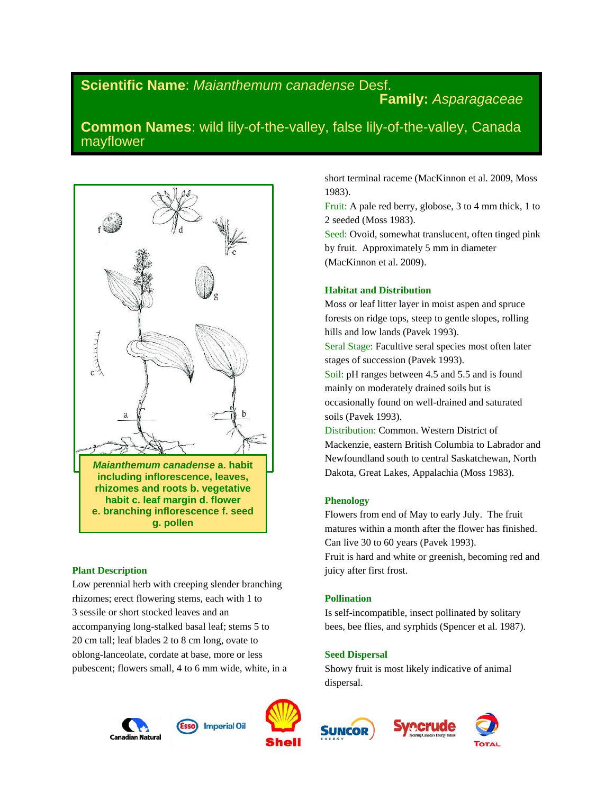# **Scientific Name**: *Maianthemum canadense* Desf. **Family:** *Asparagaceae*

**Common Names**: wild lily-of-the-valley, false lily-of-the-valley, Canada mayflower



**habit c. leaf margin d. flower e. branching inflorescence f. seed g. pollen**

## **Plant Description**

Low perennial herb with creeping slender branching rhizomes; erect flowering stems, each with 1 to 3 sessile or short stocked leaves and an accompanying long-stalked basal leaf; stems 5 to 20 cm tall; leaf blades 2 to 8 cm long, ovate to oblong-lanceolate, cordate at base, more or less pubescent; flowers small, 4 to 6 mm wide, white, in a





short terminal raceme (MacKinnon et al. 2009, Moss 1983).

Fruit: A pale red berry, globose, 3 to 4 mm thick, 1 to 2 seeded (Moss 1983).

Seed: Ovoid, somewhat translucent, often tinged pink by fruit. Approximately 5 mm in diameter (MacKinnon et al. 2009).

#### **Habitat and Distribution**

Moss or leaf litter layer in moist aspen and spruce forests on ridge tops, steep to gentle slopes, rolling hills and low lands (Pavek 1993).

Seral Stage: Facultive seral species most often later stages of succession (Pavek 1993).

Soil: pH ranges between 4.5 and 5.5 and is found mainly on moderately drained soils but is occasionally found on well-drained and saturated soils (Pavek 1993).

Distribution: Common. Western District of Mackenzie, eastern British Columbia to Labrador and Newfoundland south to central Saskatchewan, North Dakota, Great Lakes, Appalachia (Moss 1983).

## **Phenology**

Flowers from end of May to early July. The fruit matures within a month after the flower has finished. Can live 30 to 60 years (Pavek 1993). Fruit is hard and white or greenish, becoming red and juicy after first frost.

## **Pollination**

Is self-incompatible, insect pollinated by solitary bees, bee flies, and syrphids (Spencer et al. 1987).

#### **Seed Dispersal**

Showy fruit is most likely indicative of animal dispersal.





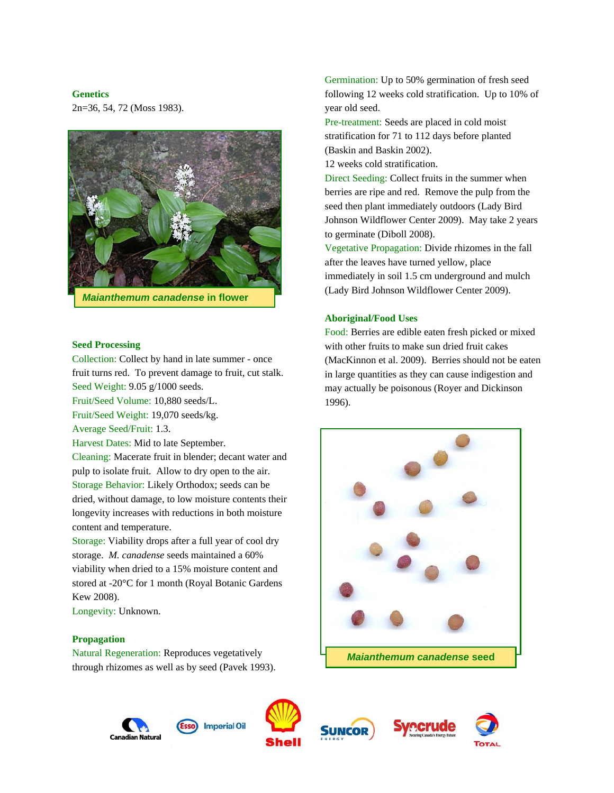#### **Genetics**

2n=36, 54, 72 (Moss 1983).



#### **Seed Processing**

Collection: Collect by hand in late summer - once fruit turns red. To prevent damage to fruit, cut stalk. Seed Weight: 9.05 g/1000 seeds.

Fruit/Seed Volume: 10,880 seeds/L.

Fruit/Seed Weight: 19,070 seeds/kg.

Average Seed/Fruit: 1.3.

Harvest Dates: Mid to late September.

Cleaning: Macerate fruit in blender; decant water and pulp to isolate fruit. Allow to dry open to the air. Storage Behavior: Likely Orthodox; seeds can be dried, without damage, to low moisture contents their longevity increases with reductions in both moisture content and temperature.

Storage: Viability drops after a full year of cool dry storage. *M. canadense* seeds maintained a 60% viability when dried to a 15% moisture content and stored at -20°C for 1 month (Royal Botanic Gardens Kew 2008).

Longevity: Unknown.

#### **Propagation**

Natural Regeneration: Reproduces vegetatively through rhizomes as well as by seed (Pavek 1993). Germination: Up to 50% germination of fresh seed following 12 weeks cold stratification. Up to 10% of year old seed.

Pre-treatment: Seeds are placed in cold moist stratification for 71 to 112 days before planted (Baskin and Baskin 2002).

12 weeks cold stratification.

Direct Seeding: Collect fruits in the summer when berries are ripe and red. Remove the pulp from the seed then plant immediately outdoors (Lady Bird Johnson Wildflower Center 2009). May take 2 years to germinate (Diboll 2008).

Vegetative Propagation: Divide rhizomes in the fall after the leaves have turned yellow, place immediately in soil 1.5 cm underground and mulch (Lady Bird Johnson Wildflower Center 2009).

#### **Aboriginal/Food Uses**

Food: Berries are edible eaten fresh picked or mixed with other fruits to make sun dried fruit cakes (MacKinnon et al. 2009). Berries should not be eaten in large quantities as they can cause indigestion and may actually be poisonous (Royer and Dickinson 1996).











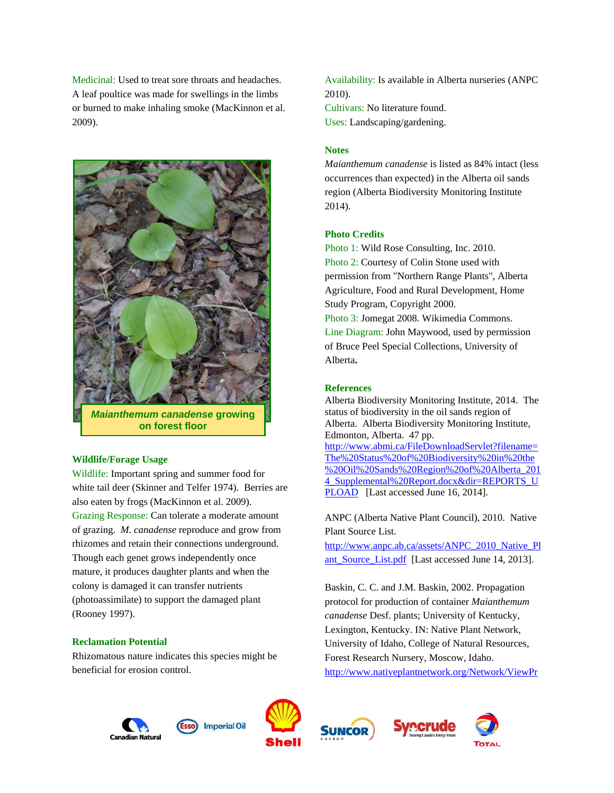Medicinal: Used to treat sore throats and headaches. A leaf poultice was made for swellings in the limbs or burned to make inhaling smoke (MacKinnon et al. 2009).



*Maianthemum canadense* **growing on forest floor**

## **Wildlife/Forage Usage**

Wildlife: Important spring and summer food for white tail deer (Skinner and Telfer 1974). Berries are also eaten by frogs (MacKinnon et al. 2009). Grazing Response: Can tolerate a moderate amount of grazing. *M. canadense* reproduce and grow from rhizomes and retain their connections underground. Though each genet grows independently once mature, it produces daughter plants and when the colony is damaged it can transfer nutrients (photoassimilate) to support the damaged plant (Rooney 1997).

#### **Reclamation Potential**

Rhizomatous nature indicates this species might be beneficial for erosion control.

Availability: Is available in Alberta nurseries (ANPC 2010). Cultivars: No literature found. Uses: Landscaping/gardening.

#### **Notes**

*Maianthemum canadense* is listed as 84% intact (less occurrences than expected) in the Alberta oil sands region (Alberta Biodiversity Monitoring Institute 2014).

## **Photo Credits**

Photo 1: Wild Rose Consulting, Inc. 2010. Photo 2: Courtesy of Colin Stone used with permission from "Northern Range Plants", Alberta Agriculture, Food and Rural Development, Home Study Program, Copyright 2000. Photo 3: Jomegat 2008. Wikimedia Commons. Line Diagram: John Maywood, used by permission of Bruce Peel Special Collections, University of Alberta**.**

#### **References**

Alberta Biodiversity Monitoring Institute, 2014. The status of biodiversity in the oil sands region of Alberta. Alberta Biodiversity Monitoring Institute, Edmonton, Alberta. 47 pp. [http://www.abmi.ca/FileDownloadServlet?filename=](http://www.abmi.ca/FileDownloadServlet?filename=The%20Status%20of%20Biodiversity%20in%20the%20Oil%20Sands%20Region%20of%20Alberta_2014_Supplemental%20Report.docx&dir=REPORTS_UPLOAD) [The%20Status%20of%20Biodiversity%20in%20the](http://www.abmi.ca/FileDownloadServlet?filename=The%20Status%20of%20Biodiversity%20in%20the%20Oil%20Sands%20Region%20of%20Alberta_2014_Supplemental%20Report.docx&dir=REPORTS_UPLOAD) [%20Oil%20Sands%20Region%20of%20Alberta\\_201](http://www.abmi.ca/FileDownloadServlet?filename=The%20Status%20of%20Biodiversity%20in%20the%20Oil%20Sands%20Region%20of%20Alberta_2014_Supplemental%20Report.docx&dir=REPORTS_UPLOAD) 4 Supplemental%20Report.docx&dir=REPORTS\_U [PLOAD](http://www.abmi.ca/FileDownloadServlet?filename=The%20Status%20of%20Biodiversity%20in%20the%20Oil%20Sands%20Region%20of%20Alberta_2014_Supplemental%20Report.docx&dir=REPORTS_UPLOAD) [Last accessed June 16, 2014].

ANPC (Alberta Native Plant Council), 2010. Native Plant Source List.

[http://www.anpc.ab.ca/assets/ANPC\\_2010\\_Native\\_Pl](http://www.anpc.ab.ca/assets/ANPC_2010_Native_Plant_Source_List.pdf) [ant\\_Source\\_List.pdf](http://www.anpc.ab.ca/assets/ANPC_2010_Native_Plant_Source_List.pdf) [Last accessed June 14, 2013].

Baskin, C. C. and J.M. Baskin, 2002. Propagation protocol for production of container *Maianthemum canadense* Desf. plants; University of Kentucky, Lexington, Kentucky. IN: Native Plant Network, University of Idaho, College of Natural Resources, Forest Research Nursery, Moscow, Idaho. [http://www.nativeplantnetwork.org/Network/ViewPr](http://www.nativeplantnetwork.org/Network/ViewProtocols.aspx?ProtocolID=1475)